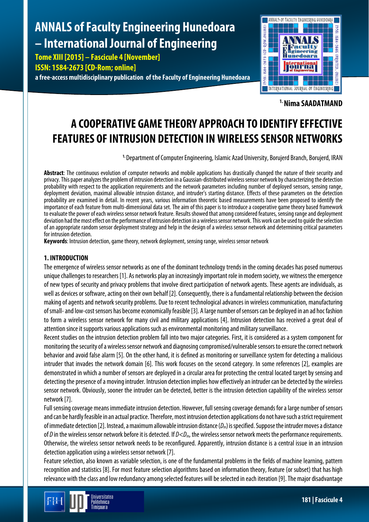# **ANNALS of Faculty Engineering Hunedoara – International Journal of Engineering**

**Tome XIII [2015] – Fascicule 4 [November] ISSN: 1584-2673 [CD-Rom; online]**

**a free-access multidisciplinary publication of the Faculty of Engineering Hunedoara**



**1. Nima SAADATMAND**

## **A COOPERATIVE GAME THEORY APPROACH TO IDENTIFY EFFECTIVE FEATURES OF INTRUSION DETECTION IN WIRELESS SENSOR NETWORKS**

**1.** Department of Computer Engineering, Islamic Azad University, Borujerd Branch, Borujerd, IRAN

**Abstract**: The continuous evolution of computer networks and mobile applications has drastically changed the nature of their security and privacy. This paper analyzes the problem of intrusion detection in a Gaussian-distributed wireless sensor network by characterizing the detection probability with respect to the application requirements and the network parameters including number of deployed sensors, sensing range, deployment deviation, maximal allowable intrusion distance, and intruder's starting distance. Effects of these parameters on the detection probability are examined in detail. In recent years, various information theoretic based measurements have been proposed to identify the importance of each feature from multi-dimensional data set. The aim of this paper is to introduce a cooperative game theory based framework to evaluate the power of each wireless sensor network feature. Results showed that among considered features, sensing range and deployment deviation had the most effect on the performance of intrusion detection in a wireless sensor network. This work can be used to guide the selection of an appropriate random sensor deployment strategy and help in the design of a wireless sensor network and determining critical parameters for intrusion detection.

**Keywords**: Intrusion detection, game theory, network deployment, sensing range, wireless sensor network

### **1. INTRODUCTION**

The emergence of wireless sensor networks as one of the dominant technology trends in the coming decades has posed numerous unique challenges to researchers [1]. As networks play an increasingly important role in modern society, we witness the emergence of new types of security and privacy problems that involve direct participation of network agents. These agents are individuals, as well as devices or software, acting on their own behalf [2]. Consequently, there is a fundamental relationship between the decision making of agents and network security problems. Due to recent technological advances in wireless communication, manufacturing of small-and low-cost sensors has become economically feasible [3]. A large number of sensors can be deployed in an ad hoc fashion to form a wireless sensor network for many civil and military applications [4]. Intrusion detection has received a great deal of attention since it supports various applications such as environmental monitoring and military surveillance.

Recent studies on the intrusion detection problem fall into two major categories. First, it is considered as a system component for monitoring the security of a wireless sensor network and diagnosing compromised/vulnerable sensors to ensure the correct network behavior and avoid false alarm [5]. On the other hand, it is defined as monitoring or surveillance system for detecting a malicious intruder that invades the network domain [6]. This work focuses on the second category. In some references [2], examples are demonstrated in which a number of sensors are deployed in a circular area for protecting the central located target by sensing and detecting the presence of a moving intruder. Intrusion detection implies how effectively an intruder can be detected by the wireless sensor network. Obviously, sooner the intruder can be detected, better is the intrusion detection capability of the wireless sensor network [7].

Full sensing coverage means immediate intrusion detection. However, full sensing coverage demands for a large number of sensors and can be hardly feasible in an actual practice. Therefore, most intrusion detection applications do not have such a strict requirement of immediate detection [2]. Instead, a maximum allowable intrusion distance (*Dm*) is specified. Suppose the intruder moves a distance of *D* in the wireless sensor network before it is detected. If *D*<*Dm*, the wireless sensor network meets the performance requirements. Otherwise, the wireless sensor network needs to be reconfigured. Apparently, intrusion distance is a central issue in an intrusion detection application using a wireless sensor network [7].

Feature selection, also known as variable selection, is one of the fundamental problems in the fields of machine learning, pattern recognition and statistics [8]. For most feature selection algorithms based on information theory, feature (or subset) that has high relevance with the class and low redundancy among selected features will be selected in each iteration [9]. The major disadvantage

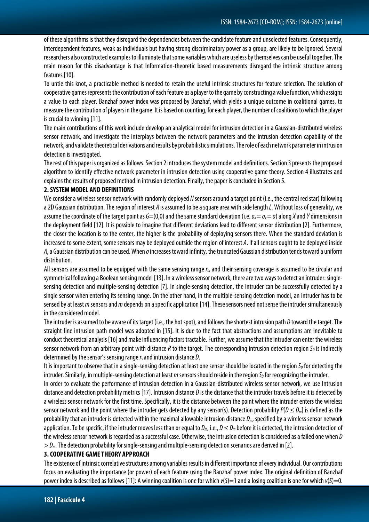of these algorithms is that they disregard the dependencies between the candidate feature and unselected features. Consequently, interdependent features, weak as individuals but having strong discriminatory power as a group, are likely to be ignored. Several researchers also constructed examples to illuminate that some variables which are useless by themselves can be useful together. The main reason for this disadvantage is that Information-theoretic based measurements disregard the intrinsic structure among features [10].

To untie this knot, a practicable method is needed to retain the useful intrinsic structures for feature selection. The solution of cooperative games represents the contribution of each feature as a player to the game by constructing a value function, which assigns a value to each player. Banzhaf power index was proposed by Banzhaf, which yields a unique outcome in coalitional games, to measure the contribution of players in the game. It is based on counting, for each player, the number of coalitions to which the player is crucial to winning [11].

The main contributions of this work include develop an analytical model for intrusion detection in a Gaussian-distributed wireless sensor network, and investigate the interplays between the network parameters and the intrusion detection capability of the network, and validate theoretical derivations and results by probabilistic simulations. The role of each network parameterin intrusion detection is investigated.

The rest of this paper is organized as follows. Section 2 introduces the system model and definitions. Section 3 presents theproposed algorithm to identify effective network parameter in intrusion detection using cooperative game theory. Section 4 illustrates and explains the results of proposed method in intrusion detection. Finally, the paper is concluded in Section 5.

#### **2. SYSTEM MODEL AND DEFINITIONS**

We consider a wireless sensor network with randomly deployed *N* sensors around a target point (i.e., the central red star) following a 2D Gaussian distribution. The region of interest *A* is assumed to be a square area with side length *L*. Without loss of generality, we assume the coordinate of the target point as  $G=(0,0)$  and the same standard deviation (i.e.  $\sigma_x = \sigma_y = \sigma$ ) along *X* and *Y* dimensions in the deployment field [12]. It is possible to imagine that different deviations lead to different sensor distribution [2]. Furthermore, the closer the location is to the center, the higher is the probability of deploying sensors there. When the standard deviation is increased to some extent, some sensors may be deployed outside the region of interest *A*. If all sensors ought to be deployed inside *A*, a Gaussian distribution can be used. When *σ*increases toward infinity, the truncated Gaussian distribution tends toward a uniform distribution.

All sensors are assumed to be equipped with the same sensing range *rs*, and their sensing coverage is assumed to be circular and symmetrical following a Boolean sensing model [13]. In a wireless sensor network, there are two ways to detect an intruder: singlesensing detection and multiple-sensing detection [7]. In single-sensing detection, the intruder can be successfully detected by a single sensor when entering its sensing range. On the other hand, in the multiple-sensing detection model, an intruder has to be sensed by at least *m* sensors and *m* depends on a specific application [14]. These sensors need not sense the intruder simultaneously in the considered model.

The intruder is assumed to be aware of its target (i.e., the hot spot), and follows the shortest intrusion path *D* toward the target. The straight-line intrusion path model was adopted in [15]. It is due to the fact that abstractions and assumptions are inevitable to conduct theoretical analysis [16] and make influencing factors tractable. Further, we assume that the intruder can enter the wireless sensor network from an arbitrary point with distance  $R$  to the target. The corresponding intrusion detection region  $S_p$  is indirectly determined by the sensor's sensing range *rs*and intrusion distance *D*.

It is important to observe that in a single-sensing detection at least one sensor should be located in the region  $S_p$  for detecting the intruder. Similarly, in multiple-sensing detection at least *m* sensors should reside in the region S<sub>D</sub> for recognizing the intruder.

In order to evaluate the performance of intrusion detection in a Gaussian-distributed wireless sensor network, we use Intrusion distance and detection probability metrics [17]. Intrusion distance *D* is the distance that the intruder travels before it is detected by a wireless sensor network for the first time. Specifically, it is the distance between the point where the intruder enters the wireless sensor network and the point where the intruder gets detected by any sensor(s). Detection probability *P*[*D* ≤ *Dm*] is defined as the probability that an intruder is detected within the maximal allowable intrusion distance *Dm*, specified by a wireless sensor network application. To be specific, if the intruder moves less than or equal to  $D_m$ , i.e.,  $D \le D_m$  before it is detected, the intrusion detection of the wireless sensor network is regarded as a successful case. Otherwise, the intrusion detection is considered as a failed one when *D* > *Dm*. The detection probability for single-sensing and multiple-sensing detection scenarios are derived in [2].

#### **3. COOPERATIVE GAME THEORY APPROACH**

The existence of intrinsic correlative structures among variables results in different importance of every individual. Our contributions focus on evaluating the importance (or power) of each feature using the Banzhaf power index. The original definition of Banzhaf power index is described as follows [11]: A winning coalition is one for which *v*(*S*)=1 and a losing coalition is one for which *v*(*S*)=0.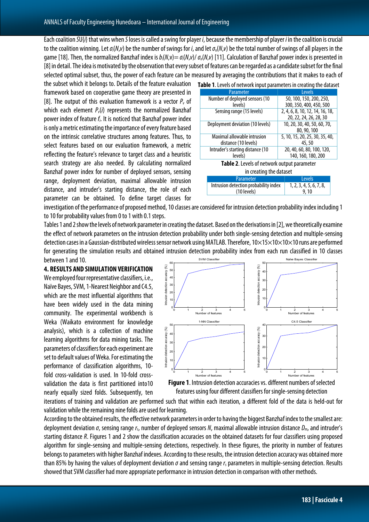Each coalition *S*U{*i*} that wins when *S*loses is called a swing for player *i*, because the membership of player *i* in the coalition is crucial to the coalition winning. Let *σi*(*N*,*v*) be the number of swings for *i*, and let *σ*o(*N*,*v*) be the total number of swings of all players in the game [18]. Then, the normalized Banzhaf index is *bi*(*N*,v)= *σi*(*N*,*v*)/*σo*(*N*,*v*) [11]. Calculation of Banzhaf power index is presented in [8] in detail. The idea is motivated by the observation that every subset of features can be regarded as a candidate subset for the final selected optimal subset, thus, the power of each feature can be measured by averaging the contributions that it makes to each of

the subset which it belongs to. Details of the feature evaluation framework based on cooperative game theory are presented in [8]. The output of this evaluation framework is a vector  $P_{V}$  of which each element *Pv*(*i*) represents the normalized Banzhaf power index of feature *f<sub>i</sub>*. It is noticed that Banzhaf power index is only a metric estimating the importance of every feature based on the intrinsic correlative structures among features. Thus, to select features based on our evaluation framework, a metric reflecting the feature's relevance to target class and a heuristic search strategy are also needed. By calculating normalized Banzhaf power index for number of deployed sensors, sensing range, deployment deviation, maximal allowable intrusion distance, and intruder's starting distance, the role of each parameter can be obtained. To define target classes for

| Table 1. Levels of network input parameters in creating the dataset |                                                      |                                                           |
|---------------------------------------------------------------------|------------------------------------------------------|-----------------------------------------------------------|
|                                                                     | Parameter                                            | Levels                                                    |
|                                                                     | Number of deployed sensors (10<br>levels)            | 50, 100, 150, 200, 250,<br>300, 350, 400, 450, 500        |
|                                                                     | Sensing range (15 levels)                            | 2, 4, 6, 8, 10, 12, 14, 16, 18,<br>20, 22, 24, 26, 28, 30 |
|                                                                     | Deployment deviation (10 levels)                     | 10, 20, 30, 40, 50, 60, 70,<br>80, 90, 100                |
|                                                                     | Maximal allowable intrusion<br>distance (10 levels)  | 5, 10, 15, 20, 25, 30, 35, 40,<br>45,50                   |
|                                                                     | Intruder's starting distance (10<br>levels)          | 20, 40, 60, 80, 100, 120,<br>140, 160, 180, 200           |
| Table 2. Levels of network output parameter                         |                                                      |                                                           |
|                                                                     | in creating the dataset                              |                                                           |
|                                                                     | Parameter                                            | Levels                                                    |
|                                                                     | Intrusion detection probability index<br>(10 levels) | 1, 2, 3, 4, 5, 6, 7, 8,<br>9, 10                          |

investigation of the performance of proposed method, 10 classes are considered for intrusion detection probability index including 1 to 10 for probability values from 0 to 1 with 0.1 steps.

Tables 1 and 2 show the levels of network parameter in creating the dataset. Based on the derivations in [2], we theoretically examine the effect of network parameters on the intrusion detection probability under both single-sensing detection and multiple-sensing detection cases in a Gaussian-distributed wireless sensor network using MATLAB. Therefore,  $10\times15\times10\times10\times10$  runs are performed for generating the simulation results and obtained intrusion detection probability index from each run classified in 10 classes between 1 and 10. SVM Classifier Naïve Bayes Classifie

**4. RESULTS AND SIMULATION VERIFICATION** We employed four representative classifiers, i.e., Naïve Bayes, SVM, 1-Nearest Neighbor and C4.5, which are the most influential algorithms that have been widely used in the data mining community. The experimental workbench is Weka (Waikato environment for knowledge analysis), which is a collection of machine learning algorithms for data mining tasks. The parameters of classifiers for each experiment are set to default values of Weka. For estimating the performance of classification algorithms, 10 fold cross-validation is used. In 10-fold crossvalidation the data is first partitioned into10 nearly equally sized folds. Subsequently, ten



**Figure 1**. Intrusion detection accuracies vs. different numbers of selected features using four different classifiers for single-sensing detection

iterations of training and validation are performed such that within each iteration, a different fold of the data is held-out for validation while the remaining nine folds are used for learning.

According to the obtained results, the effective network parameters in order to having the biggest Banzhaf index to the smallest are: deployment deviation *σ*, sensing range *rs*, number of deployed sensors *N*, maximal allowable intrusion distance *Dm*, and intruder's starting distance *R*. Figures 1 and 2 show the classification accuracies on the obtained datasets for four classifiers using proposed algorithm for single-sensing and multiple-sensing detections, respectively. In these figures, the priority in number of features belongs to parameters with higher Banzhaf indexes. According to these results, the intrusion detection accuracy was obtained more than 85% by having the values of deployment deviation *σ* and sensing range *r<sub>s</sub>* parameters in multiple-sensing detection. Results showed that SVM classifier had more appropriate performance in intrusion detection in comparison with other methods.